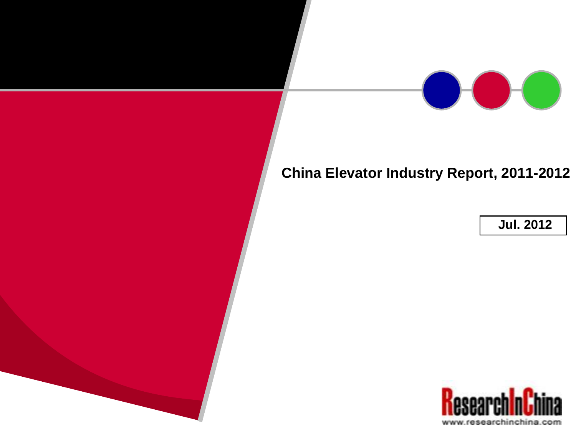

### **China Elevator Industry Report, 2011-2012**

**Jul. 2012**

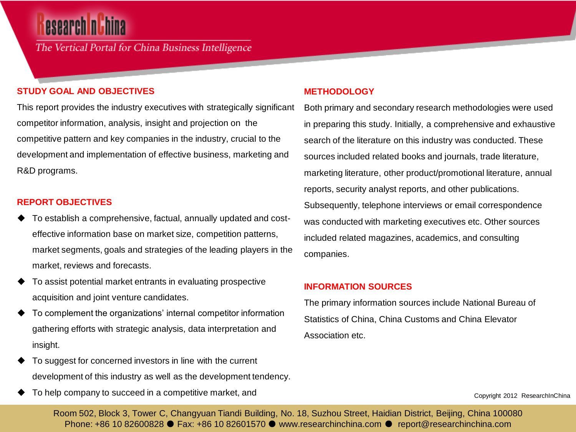## **esearch nich**

The Vertical Portal for China Business Intelligence

#### **STUDY GOAL AND OBJECTIVES**

This report provides the industry executives with strategically significant competitor information, analysis, insight and projection on the competitive pattern and key companies in the industry, crucial to the development and implementation of effective business, marketing and R&D programs.

#### **REPORT OBJECTIVES**

- To establish a comprehensive, factual, annually updated and costeffective information base on market size, competition patterns, market segments, goals and strategies of the leading players in the market, reviews and forecasts.
- To assist potential market entrants in evaluating prospective acquisition and joint venture candidates.
- To complement the organizations' internal competitor information gathering efforts with strategic analysis, data interpretation and insight.
- To suggest for concerned investors in line with the current development of this industry as well as the development tendency.
- To help company to succeed in a competitive market, and

#### **METHODOLOGY**

Both primary and secondary research methodologies were used in preparing this study. Initially, a comprehensive and exhaustive search of the literature on this industry was conducted. These sources included related books and journals, trade literature, marketing literature, other product/promotional literature, annual reports, security analyst reports, and other publications. Subsequently, telephone interviews or email correspondence was conducted with marketing executives etc. Other sources included related magazines, academics, and consulting companies.

#### **INFORMATION SOURCES**

The primary information sources include National Bureau of Statistics of China, China Customs and China Elevator Association etc.

Copyright 2012 ResearchInChina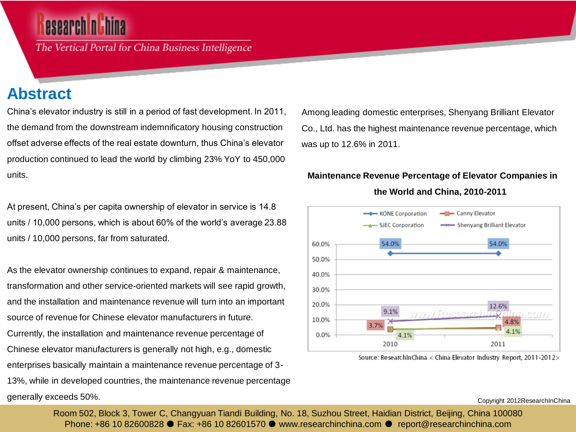## esearch n E

The Vertical Portal for China Business Intelligence

### **Abstract**

China's elevator industry is still in a period of fast development. In 2011, the demand from the downstream indemnificatory housing construction offset adverse effects of the real estate downturn, thus China's elevator production continued to lead the world by climbing 23% YoY to 450,000 units.

At present, China's per capita ownership of elevator in service is 14.8 units / 10,000 persons, which is about 60% of the world's average 23.88 units / 10,000 persons, far from saturated.

As the elevator ownership continues to expand, repair & maintenance, transformation and other service-oriented markets will see rapid growth, and the installation and maintenance revenue will turn into an important source of revenue for Chinese elevator manufacturers in future. Currently, the installation and maintenance revenue percentage of Chinese elevator manufacturers is generally not high, e.g., domestic enterprises basically maintain a maintenance revenue percentage of 3- 13%, while in developed countries, the maintenance revenue percentage generally exceeds 50%.

Among leading domestic enterprises, Shenyang Brilliant Elevator Co., Ltd. has the highest maintenance revenue percentage, which was up to 12.6% in 2011.

#### **Maintenance Revenue Percentage of Elevator Companies in**



**the World and China, 2010-2011**

Source: ResearchInChina < China Elevator Industry Report, 2011-2012>

Copyright 2012ResearchInChina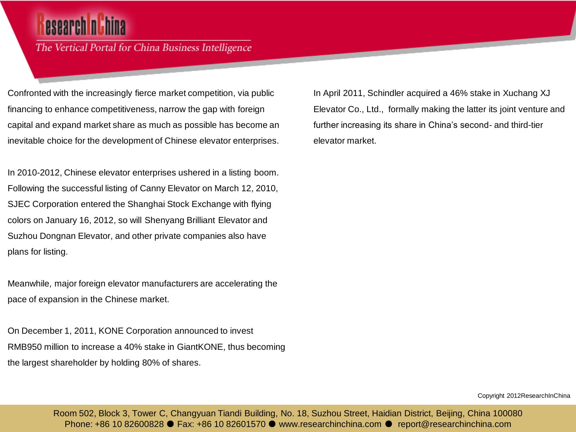## esearch n

The Vertical Portal for China Business Intelligence

Confronted with the increasingly fierce market competition, via public financing to enhance competitiveness, narrow the gap with foreign capital and expand market share as much as possible has become an inevitable choice for the development of Chinese elevator enterprises.

In 2010-2012, Chinese elevator enterprises ushered in a listing boom. Following the successful listing of Canny Elevator on March 12, 2010, SJEC Corporation entered the Shanghai Stock Exchange with flying colors on January 16, 2012, so will Shenyang Brilliant Elevator and Suzhou Dongnan Elevator, and other private companies also have plans for listing.

Meanwhile, major foreign elevator manufacturers are accelerating the pace of expansion in the Chinese market.

On December 1, 2011, KONE Corporation announced to invest RMB950 million to increase a 40% stake in GiantKONE, thus becoming the largest shareholder by holding 80% of shares.

In April 2011, Schindler acquired a 46% stake in Xuchang XJ Elevator Co., Ltd., formally making the latter its joint venture and further increasing its share in China's second- and third-tier elevator market.

Copyright 2012ResearchInChina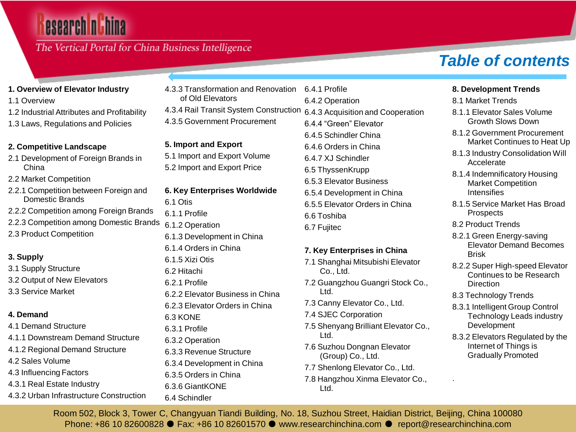### The Vertical Portal for China Business Intelligence

### **1. Overview of Elevator Industry**

- 1.1 Overview
- 1.2 Industrial Attributes and Profitability
- 1.3 Laws, Regulations and Policies

#### **2. Competitive Landscape**

- 2.1 Development of Foreign Brands in China
- 2.2 Market Competition
- 2.2.1 Competition between Foreign and Domestic Brands
- 2.2.2 Competition among Foreign Brands
- 2.2.3 Competition among Domestic Brands
- 2.3 Product Competition

### **3. Supply**

3.1 Supply Structure 3.2 Output of New Elevators 3.3 Service Market

### **4. Demand**

- 4.1 Demand Structure 4.1.1 Downstream Demand Structure 4.1.2 Regional Demand Structure 4.2 Sales Volume 4.3 Influencing Factors 4.3.1 Real Estate Industry
- 4.3.2 Urban Infrastructure Construction

4.3.3 Transformation and Renovation of Old Elevators 4.3.4 Rail Transit System Construction 4.3.5 Government Procurement 6.4.1 Profile 6.4.2 Operation 6.4.3 Acquisition and Cooperation 6.4.4 "Green" Elevator

#### **5. Import and Export**

5.1 Import and Export Volume 5.2 Import and Export Price

### **6. Key Enterprises Worldwide**

- 6.1 Otis
- 6.1.1 Profile
- 6.1.2 Operation
- 6.1.3 Development in China
- 6.1.4 Orders in China
- 6.1.5 Xizi Otis
- 6.2 Hitachi
- 6.2.1 Profile
- 6.2.2 Elevator Business in China
- 6.2.3 Elevator Orders in China
- 6.3 KONE
- 6.3.1 Profile
- 6.3.2 Operation
- 6.3.3 Revenue Structure
- 6.3.4 Development in China
	- 6.3.5 Orders in China
- 6.3.6 GiantKONE
- 6.4 Schindler

6.4.5 Schindler China 6.4.6 Orders in China 6.4.7 XJ Schindler 6.5 ThyssenKrupp 6.5.3 Elevator Business 6.5.4 Development in China 6.5.5 Elevator Orders in China 6.6 Toshiba 6.7 Fujitec

#### **7. Key Enterprises in China**

- 7.1 Shanghai Mitsubishi Elevator Co., Ltd.
- 7.2 Guangzhou Guangri Stock Co., Ltd.
- 7.3 Canny Elevator Co., Ltd.
- 7.4 SJEC Corporation
- 7.5 Shenyang Brilliant Elevator Co., Ltd.
- 7.6 Suzhou Dongnan Elevator (Group) Co., Ltd.
- 7.7 Shenlong Elevator Co., Ltd.
- 7.8 Hangzhou Xinma Elevator Co., Ltd.

## *Table of contents*

#### **8. Development Trends**

- 8.1 Market Trends
- 8.1.1 Elevator Sales Volume Growth Slows Down
- 8.1.2 Government Procurement Market Continues to Heat Up
- 8.1.3 Industry Consolidation Will Accelerate
- 8.1.4 Indemnificatory Housing Market Competition **Intensifies**
- 8.1.5 Service Market Has Broad Prospects
- 8.2 Product Trends
- 8.2.1 Green Energy-saving Elevator Demand Becomes Brisk
- 8.2.2 Super High-speed Elevator Continues to be Research **Direction**
- 8.3 Technology Trends

.

- 8.3.1 Intelligent Group Control Technology Leads industry Development
- 8.3.2 Elevators Regulated by the Internet of Things is Gradually Promoted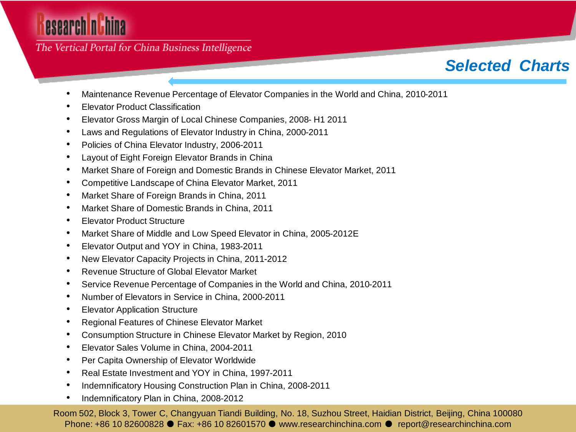The Vertical Portal for China Business Intelligence

### *Selected Charts*

- Maintenance Revenue Percentage of Elevator Companies in the World and China, 2010-2011
- Elevator Product Classification
- Elevator Gross Margin of Local Chinese Companies, 2008- H1 2011
- Laws and Regulations of Elevator Industry in China, 2000-2011
- Policies of China Elevator Industry, 2006-2011
- Layout of Eight Foreign Elevator Brands in China
- Market Share of Foreign and Domestic Brands in Chinese Elevator Market, 2011
- Competitive Landscape of China Elevator Market, 2011
- Market Share of Foreign Brands in China, 2011
- Market Share of Domestic Brands in China, 2011
- Elevator Product Structure
- Market Share of Middle and Low Speed Elevator in China, 2005-2012E
- Elevator Output and YOY in China, 1983-2011
- New Elevator Capacity Projects in China, 2011-2012
- Revenue Structure of Global Elevator Market
- Service Revenue Percentage of Companies in the World and China, 2010-2011
- Number of Elevators in Service in China, 2000-2011
- **Elevator Application Structure**
- Regional Features of Chinese Elevator Market
- Consumption Structure in Chinese Elevator Market by Region, 2010
- Elevator Sales Volume in China, 2004-2011
- Per Capita Ownership of Elevator Worldwide
- Real Estate Investment and YOY in China, 1997-2011
- Indemnificatory Housing Construction Plan in China, 2008-2011
- Indemnificatory Plan in China, 2008-2012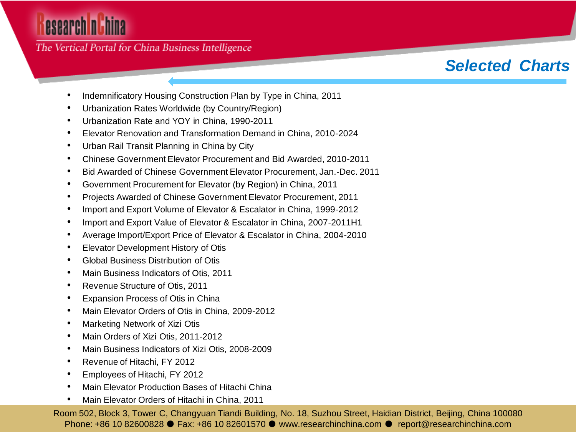The Vertical Portal for China Business Intelligence

### *Selected Charts*

- Indemnificatory Housing Construction Plan by Type in China, 2011
- Urbanization Rates Worldwide (by Country/Region)
- Urbanization Rate and YOY in China, 1990-2011
- Elevator Renovation and Transformation Demand in China, 2010-2024
- Urban Rail Transit Planning in China by City
- Chinese Government Elevator Procurement and Bid Awarded, 2010-2011
- Bid Awarded of Chinese Government Elevator Procurement, Jan.-Dec. 2011
- Government Procurement for Elevator (by Region) in China, 2011
- Projects Awarded of Chinese Government Elevator Procurement, 2011
- Import and Export Volume of Elevator & Escalator in China, 1999-2012
- Import and Export Value of Elevator & Escalator in China, 2007-2011H1
- Average Import/Export Price of Elevator & Escalator in China, 2004-2010
- Elevator Development History of Otis
- Global Business Distribution of Otis
- Main Business Indicators of Otis, 2011
- Revenue Structure of Otis, 2011
- Expansion Process of Otis in China
- Main Elevator Orders of Otis in China, 2009-2012
- Marketing Network of Xizi Otis
- Main Orders of Xizi Otis, 2011-2012
- Main Business Indicators of Xizi Otis, 2008-2009
- Revenue of Hitachi, FY 2012
- Employees of Hitachi, FY 2012
- Main Elevator Production Bases of Hitachi China
- Main Elevator Orders of Hitachi in China, 2011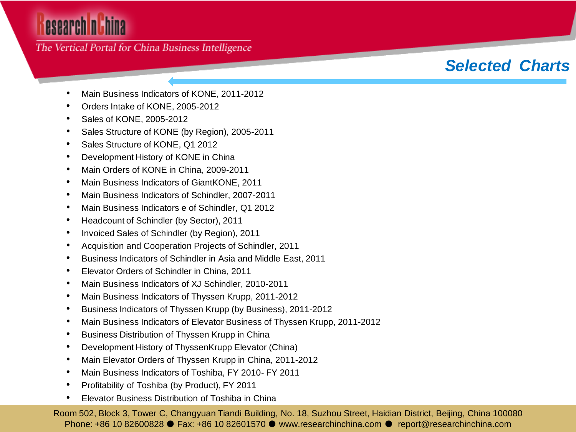### The Vertical Portal for China Business Intelligence

### *Selected Charts*

- Main Business Indicators of KONE, 2011-2012
- Orders Intake of KONE, 2005-2012
- Sales of KONE, 2005-2012
- Sales Structure of KONE (by Region), 2005-2011
- Sales Structure of KONE, Q1 2012
- Development History of KONE in China
- Main Orders of KONE in China, 2009-2011
- Main Business Indicators of GiantKONE, 2011
- Main Business Indicators of Schindler, 2007-2011
- Main Business Indicators e of Schindler, Q1 2012
- Headcount of Schindler (by Sector), 2011
- Invoiced Sales of Schindler (by Region), 2011
- Acquisition and Cooperation Projects of Schindler, 2011
- Business Indicators of Schindler in Asia and Middle East, 2011
- Elevator Orders of Schindler in China, 2011
- Main Business Indicators of XJ Schindler, 2010-2011
- Main Business Indicators of Thyssen Krupp, 2011-2012
- Business Indicators of Thyssen Krupp (by Business), 2011-2012
- Main Business Indicators of Elevator Business of Thyssen Krupp, 2011-2012
- Business Distribution of Thyssen Krupp in China
- Development History of ThyssenKrupp Elevator (China)
- Main Elevator Orders of Thyssen Krupp in China, 2011-2012
- Main Business Indicators of Toshiba, FY 2010- FY 2011
- Profitability of Toshiba (by Product), FY 2011
- Elevator Business Distribution of Toshiba in China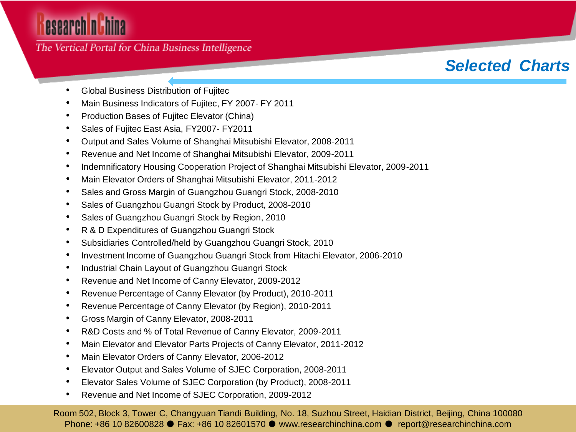### The Vertical Portal for China Business Intelligence

### *Selected Charts*

- Global Business Distribution of Fujitec
- Main Business Indicators of Fujitec, FY 2007- FY 2011
- Production Bases of Fujitec Elevator (China)
- Sales of Fujitec East Asia, FY2007- FY2011
- Output and Sales Volume of Shanghai Mitsubishi Elevator, 2008-2011
- Revenue and Net Income of Shanghai Mitsubishi Elevator, 2009-2011
- Indemnificatory Housing Cooperation Project of Shanghai Mitsubishi Elevator, 2009-2011
- Main Elevator Orders of Shanghai Mitsubishi Elevator, 2011-2012
- Sales and Gross Margin of Guangzhou Guangri Stock, 2008-2010
- Sales of Guangzhou Guangri Stock by Product, 2008-2010
- Sales of Guangzhou Guangri Stock by Region, 2010
- R & D Expenditures of Guangzhou Guangri Stock
- Subsidiaries Controlled/held by Guangzhou Guangri Stock, 2010
- Investment Income of Guangzhou Guangri Stock from Hitachi Elevator, 2006-2010
- Industrial Chain Layout of Guangzhou Guangri Stock
- Revenue and Net Income of Canny Elevator, 2009-2012
- Revenue Percentage of Canny Elevator (by Product), 2010-2011
- Revenue Percentage of Canny Elevator (by Region), 2010-2011
- Gross Margin of Canny Elevator, 2008-2011
- R&D Costs and % of Total Revenue of Canny Elevator, 2009-2011
- Main Elevator and Elevator Parts Projects of Canny Elevator, 2011-2012
- Main Elevator Orders of Canny Elevator, 2006-2012
- Elevator Output and Sales Volume of SJEC Corporation, 2008-2011
- Elevator Sales Volume of SJEC Corporation (by Product), 2008-2011
- Revenue and Net Income of SJEC Corporation, 2009-2012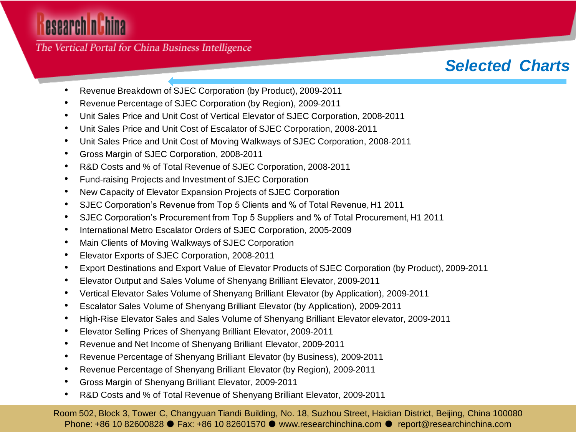The Vertical Portal for China Business Intelligence

### *Selected Charts*

- Revenue Breakdown of SJEC Corporation (by Product), 2009-2011
- Revenue Percentage of SJEC Corporation (by Region), 2009-2011
- Unit Sales Price and Unit Cost of Vertical Elevator of SJEC Corporation, 2008-2011
- Unit Sales Price and Unit Cost of Escalator of SJEC Corporation, 2008-2011
- Unit Sales Price and Unit Cost of Moving Walkways of SJEC Corporation, 2008-2011
- Gross Margin of SJEC Corporation, 2008-2011
- R&D Costs and % of Total Revenue of SJEC Corporation, 2008-2011
- Fund-raising Projects and Investment of SJEC Corporation
- New Capacity of Elevator Expansion Projects of SJEC Corporation
- SJEC Corporation's Revenue from Top 5 Clients and % of Total Revenue, H1 2011
- SJEC Corporation's Procurement from Top 5 Suppliers and % of Total Procurement, H1 2011
- International Metro Escalator Orders of SJEC Corporation, 2005-2009
- Main Clients of Moving Walkways of SJEC Corporation
- Elevator Exports of SJEC Corporation, 2008-2011
- Export Destinations and Export Value of Elevator Products of SJEC Corporation (by Product), 2009-2011
- Elevator Output and Sales Volume of Shenyang Brilliant Elevator, 2009-2011
- Vertical Elevator Sales Volume of Shenyang Brilliant Elevator (by Application), 2009-2011
- Escalator Sales Volume of Shenyang Brilliant Elevator (by Application), 2009-2011
- High-Rise Elevator Sales and Sales Volume of Shenyang Brilliant Elevator elevator, 2009-2011
- Elevator Selling Prices of Shenyang Brilliant Elevator, 2009-2011
- Revenue and Net Income of Shenyang Brilliant Elevator, 2009-2011
- Revenue Percentage of Shenyang Brilliant Elevator (by Business), 2009-2011
- Revenue Percentage of Shenyang Brilliant Elevator (by Region), 2009-2011
- Gross Margin of Shenyang Brilliant Elevator, 2009-2011
- R&D Costs and % of Total Revenue of Shenyang Brilliant Elevator, 2009-2011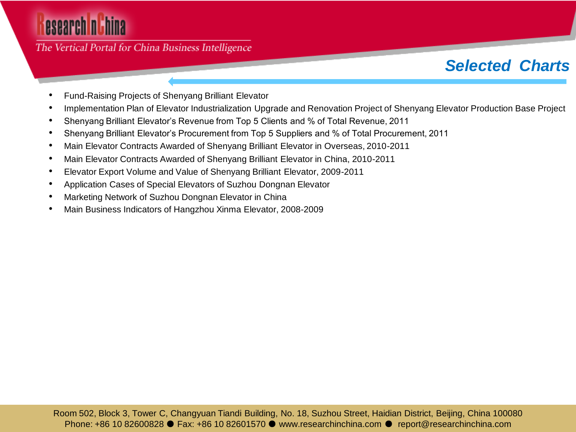### The Vertical Portal for China Business Intelligence

### *Selected Charts*

- Fund-Raising Projects of Shenyang Brilliant Elevator
- Implementation Plan of Elevator Industrialization Upgrade and Renovation Project of Shenyang Elevator Production Base Project
- Shenyang Brilliant Elevator's Revenue from Top 5 Clients and % of Total Revenue, 2011
- Shenyang Brilliant Elevator's Procurement from Top 5 Suppliers and % of Total Procurement, 2011
- Main Elevator Contracts Awarded of Shenyang Brilliant Elevator in Overseas, 2010-2011
- Main Elevator Contracts Awarded of Shenyang Brilliant Elevator in China, 2010-2011
- Elevator Export Volume and Value of Shenyang Brilliant Elevator, 2009-2011
- Application Cases of Special Elevators of Suzhou Dongnan Elevator
- Marketing Network of Suzhou Dongnan Elevator in China
- Main Business Indicators of Hangzhou Xinma Elevator, 2008-2009